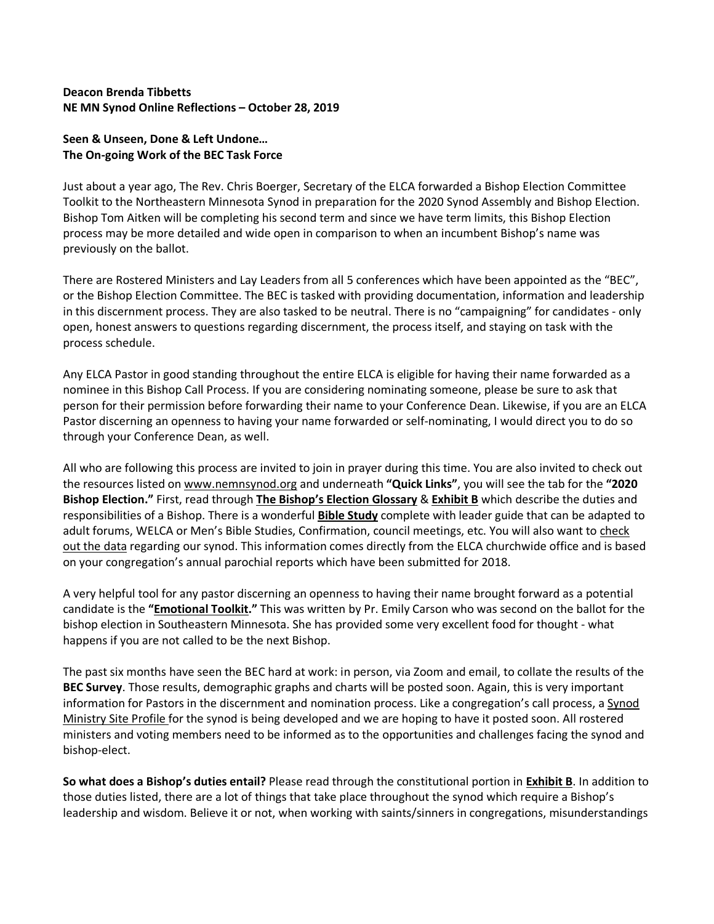## **Deacon Brenda Tibbetts NE MN Synod Online Reflections – October 28, 2019**

## **Seen & Unseen, Done & Left Undone… The On-going Work of the BEC Task Force**

Just about a year ago, The Rev. Chris Boerger, Secretary of the ELCA forwarded a Bishop Election Committee Toolkit to the Northeastern Minnesota Synod in preparation for the 2020 Synod Assembly and Bishop Election. Bishop Tom Aitken will be completing his second term and since we have term limits, this Bishop Election process may be more detailed and wide open in comparison to when an incumbent Bishop's name was previously on the ballot.

There are Rostered Ministers and Lay Leaders from all 5 conferences which have been appointed as the "BEC", or the Bishop Election Committee. The BEC is tasked with providing documentation, information and leadership in this discernment process. They are also tasked to be neutral. There is no "campaigning" for candidates - only open, honest answers to questions regarding discernment, the process itself, and staying on task with the process schedule.

Any ELCA Pastor in good standing throughout the entire ELCA is eligible for having their name forwarded as a nominee in this Bishop Call Process. If you are considering nominating someone, please be sure to ask that person for their permission before forwarding their name to your Conference Dean. Likewise, if you are an ELCA Pastor discerning an openness to having your name forwarded or self-nominating, I would direct you to do so through your Conference Dean, as well.

All who are following this process are invited to join in prayer during this time. You are also invited to check out the resources listed on www.nemnsynod.org and underneath **"Quick Links"**, you will see the tab for the **"2020 Bishop Election."** First, read through **The Bishop's Election Glossary** & **Exhibit B** which describe the duties and responsibilities of a Bishop. There is a wonderful **Bible Study** complete with leader guide that can be adapted to adult forums, WELCA or Men's Bible Studies, Confirmation, council meetings, etc. You will also want to check out the data regarding our synod. This information comes directly from the ELCA churchwide office and is based on your congregation's annual parochial reports which have been submitted for 2018.

A very helpful tool for any pastor discerning an openness to having their name brought forward as a potential candidate is the **"Emotional Toolkit."** This was written by Pr. Emily Carson who was second on the ballot for the bishop election in Southeastern Minnesota. She has provided some very excellent food for thought - what happens if you are not called to be the next Bishop.

The past six months have seen the BEC hard at work: in person, via Zoom and email, to collate the results of the **BEC Survey**. Those results, demographic graphs and charts will be posted soon. Again, this is very important information for Pastors in the discernment and nomination process. Like a congregation's call process, a Synod Ministry Site Profile for the synod is being developed and we are hoping to have it posted soon. All rostered ministers and voting members need to be informed as to the opportunities and challenges facing the synod and bishop-elect.

**So what does a Bishop's duties entail?** Please read through the constitutional portion in **Exhibit B**. In addition to those duties listed, there are a lot of things that take place throughout the synod which require a Bishop's leadership and wisdom. Believe it or not, when working with saints/sinners in congregations, misunderstandings